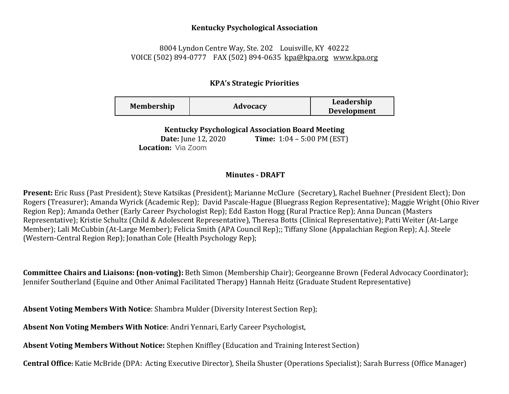## **Kentucky Psychological Association**

## 8004 Lyndon Centre Way, Ste. 202 Louisville, KY 40222 VOICE (502) 894-0777 FAX (502) 894-0635 [kpa@kpa.org](mailto:kpa@kih.net) [www.kpa.org](http://www.kpa.org/)

## **KPA's Strategic Priorities**

| <b>Membership</b> | Advocacy | Leadership<br><b>Development</b> |
|-------------------|----------|----------------------------------|
|                   |          |                                  |

**Kentucky Psychological Association Board Meeting** 

**Date:** June 12, 2020 **Time:** 1:04 – 5:00 PM (EST) **Location:** Via Zoom

## **Minutes - DRAFT**

**Present:** Eric Russ (Past President); Steve Katsikas (President); Marianne McClure (Secretary), Rachel Buehner (President Elect); Don Rogers (Treasurer); Amanda Wyrick (Academic Rep); David Pascale-Hague (Bluegrass Region Representative); Maggie Wright (Ohio River Region Rep); Amanda Oether (Early Career Psychologist Rep); Edd Easton Hogg (Rural Practice Rep); Anna Duncan (Masters Representative); Kristie Schultz (Child & Adolescent Representative), Theresa Botts (Clinical Representative); Patti Weiter (At-Large Member); Lali McCubbin (At-Large Member); Felicia Smith (APA Council Rep);; Tiffany Slone (Appalachian Region Rep); A.J. Steele (Western-Central Region Rep); Jonathan Cole (Health Psychology Rep);

**Committee Chairs and Liaisons: (non-voting):** Beth Simon (Membership Chair); Georgeanne Brown (Federal Advocacy Coordinator); Jennifer Southerland (Equine and Other Animal Facilitated Therapy) Hannah Heitz (Graduate Student Representative)

**Absent Voting Members With Notice**: Shambra Mulder (Diversity Interest Section Rep);

**Absent Non Voting Members With Notice**: Andri Yennari, Early Career Psychologist,

**Absent Voting Members Without Notice:** Stephen Kniffley (Education and Training Interest Section)

**Central Office:** Katie McBride (DPA: Acting Executive Director), Sheila Shuster (Operations Specialist); Sarah Burress (Office Manager)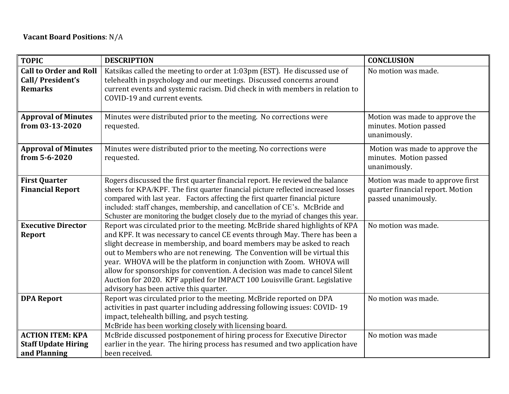| <b>TOPIC</b>                                                          | <b>DESCRIPTION</b>                                                                                                                                                                                                                                                                                                                                                                                                                                                                                                                                                                                | <b>CONCLUSION</b>                                                                           |
|-----------------------------------------------------------------------|---------------------------------------------------------------------------------------------------------------------------------------------------------------------------------------------------------------------------------------------------------------------------------------------------------------------------------------------------------------------------------------------------------------------------------------------------------------------------------------------------------------------------------------------------------------------------------------------------|---------------------------------------------------------------------------------------------|
| <b>Call to Order and Roll</b><br>Call/President's<br><b>Remarks</b>   | Katsikas called the meeting to order at 1:03pm (EST). He discussed use of<br>telehealth in psychology and our meetings. Discussed concerns around<br>current events and systemic racism. Did check in with members in relation to<br>COVID-19 and current events.                                                                                                                                                                                                                                                                                                                                 | No motion was made.                                                                         |
| <b>Approval of Minutes</b><br>from 03-13-2020                         | Minutes were distributed prior to the meeting. No corrections were<br>requested.                                                                                                                                                                                                                                                                                                                                                                                                                                                                                                                  | Motion was made to approve the<br>minutes. Motion passed<br>unanimously.                    |
| <b>Approval of Minutes</b><br>from 5-6-2020                           | Minutes were distributed prior to the meeting. No corrections were<br>requested.                                                                                                                                                                                                                                                                                                                                                                                                                                                                                                                  | Motion was made to approve the<br>minutes. Motion passed<br>unanimously.                    |
| <b>First Quarter</b><br><b>Financial Report</b>                       | Rogers discussed the first quarter financial report. He reviewed the balance<br>sheets for KPA/KPF. The first quarter financial picture reflected increased losses<br>compared with last year. Factors affecting the first quarter financial picture<br>included: staff changes, membership, and cancellation of CE's. McBride and<br>Schuster are monitoring the budget closely due to the myriad of changes this year.                                                                                                                                                                          | Motion was made to approve first<br>quarter financial report. Motion<br>passed unanimously. |
| <b>Executive Director</b><br><b>Report</b>                            | Report was circulated prior to the meeting. McBride shared highlights of KPA<br>and KPF. It was necessary to cancel CE events through May. There has been a<br>slight decrease in membership, and board members may be asked to reach<br>out to Members who are not renewing. The Convention will be virtual this<br>year. WHOVA will be the platform in conjunction with Zoom. WHOVA will<br>allow for sponsorships for convention. A decision was made to cancel Silent<br>Auction for 2020. KPF applied for IMPACT 100 Louisville Grant. Legislative<br>advisory has been active this quarter. | No motion was made.                                                                         |
| <b>DPA Report</b>                                                     | Report was circulated prior to the meeting. McBride reported on DPA<br>activities in past quarter including addressing following issues: COVID-19<br>impact, telehealth billing, and psych testing.<br>McBride has been working closely with licensing board.                                                                                                                                                                                                                                                                                                                                     | No motion was made.                                                                         |
| <b>ACTION ITEM: KPA</b><br><b>Staff Update Hiring</b><br>and Planning | McBride discussed postponement of hiring process for Executive Director<br>earlier in the year. The hiring process has resumed and two application have<br>been received.                                                                                                                                                                                                                                                                                                                                                                                                                         | No motion was made                                                                          |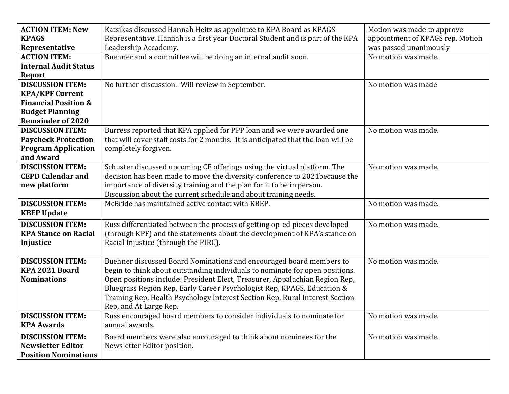| <b>ACTION ITEM: New</b>         | Katsikas discussed Hannah Heitz as appointee to KPA Board as KPAGS                | Motion was made to approve       |
|---------------------------------|-----------------------------------------------------------------------------------|----------------------------------|
| <b>KPAGS</b>                    | Representative. Hannah is a first year Doctoral Student and is part of the KPA    | appointment of KPAGS rep. Motion |
| Representative                  | Leadership Accademy.                                                              | was passed unanimously           |
| <b>ACTION ITEM:</b>             | Buehner and a committee will be doing an internal audit soon.                     | No motion was made.              |
| <b>Internal Audit Status</b>    |                                                                                   |                                  |
| Report                          |                                                                                   |                                  |
| <b>DISCUSSION ITEM:</b>         | No further discussion. Will review in September.                                  | No motion was made               |
| <b>KPA/KPF Current</b>          |                                                                                   |                                  |
| <b>Financial Position &amp;</b> |                                                                                   |                                  |
| <b>Budget Planning</b>          |                                                                                   |                                  |
| <b>Remainder of 2020</b>        |                                                                                   |                                  |
| <b>DISCUSSION ITEM:</b>         | Burress reported that KPA applied for PPP loan and we were awarded one            | No motion was made.              |
| <b>Paycheck Protection</b>      | that will cover staff costs for 2 months. It is anticipated that the loan will be |                                  |
| <b>Program Application</b>      | completely forgiven.                                                              |                                  |
| and Award                       |                                                                                   |                                  |
| <b>DISCUSSION ITEM:</b>         | Schuster discussed upcoming CE offerings using the virtual platform. The          | No motion was made.              |
| <b>CEPD Calendar and</b>        | decision has been made to move the diversity conference to 2021because the        |                                  |
| new platform                    | importance of diversity training and the plan for it to be in person.             |                                  |
|                                 | Discussion about the current schedule and about training needs.                   |                                  |
| <b>DISCUSSION ITEM:</b>         | McBride has maintained active contact with KBEP.                                  | No motion was made.              |
| <b>KBEP Update</b>              |                                                                                   |                                  |
| <b>DISCUSSION ITEM:</b>         | Russ differentiated between the process of getting op-ed pieces developed         | No motion was made.              |
| <b>KPA Stance on Racial</b>     | (through KPF) and the statements about the development of KPA's stance on         |                                  |
| Injustice                       | Racial Injustice (through the PIRC).                                              |                                  |
|                                 |                                                                                   |                                  |
| <b>DISCUSSION ITEM:</b>         | Buehner discussed Board Nominations and encouraged board members to               | No motion was made.              |
| KPA 2021 Board                  | begin to think about outstanding individuals to nominate for open positions.      |                                  |
| <b>Nominations</b>              | Open positions include: President Elect, Treasurer, Appalachian Region Rep,       |                                  |
|                                 | Bluegrass Region Rep, Early Career Psychologist Rep, KPAGS, Education &           |                                  |
|                                 | Training Rep, Health Psychology Interest Section Rep, Rural Interest Section      |                                  |
|                                 | Rep, and At Large Rep.                                                            |                                  |
| <b>DISCUSSION ITEM:</b>         | Russ encouraged board members to consider individuals to nominate for             | No motion was made.              |
| <b>KPA Awards</b>               | annual awards.                                                                    |                                  |
| <b>DISCUSSION ITEM:</b>         | Board members were also encouraged to think about nominees for the                | No motion was made.              |
| <b>Newsletter Editor</b>        | Newsletter Editor position.                                                       |                                  |
| <b>Position Nominations</b>     |                                                                                   |                                  |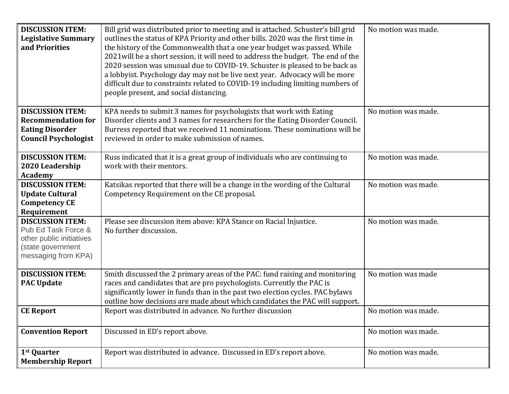| <b>DISCUSSION ITEM:</b><br><b>Legislative Summary</b><br>and Priorities                                                | Bill grid was distributed prior to meeting and is attached. Schuster's bill grid<br>outlines the status of KPA Priority and other bills. 2020 was the first time in<br>the history of the Commonwealth that a one year budget was passed. While<br>2021 will be a short session, it will need to address the budget. The end of the<br>2020 session was unusual due to COVID-19. Schuster is pleased to be back as<br>a lobbyist. Psychology day may not be live next year. Advocacy will be more<br>difficult due to constraints related to COVID-19 including limiting numbers of<br>people present, and social distancing. | No motion was made. |
|------------------------------------------------------------------------------------------------------------------------|-------------------------------------------------------------------------------------------------------------------------------------------------------------------------------------------------------------------------------------------------------------------------------------------------------------------------------------------------------------------------------------------------------------------------------------------------------------------------------------------------------------------------------------------------------------------------------------------------------------------------------|---------------------|
| <b>DISCUSSION ITEM:</b><br><b>Recommendation for</b><br><b>Eating Disorder</b><br><b>Council Psychologist</b>          | KPA needs to submit 3 names for psychologists that work with Eating<br>Disorder clients and 3 names for researchers for the Eating Disorder Council.<br>Burress reported that we received 11 nominations. These nominations will be<br>reviewed in order to make submission of names.                                                                                                                                                                                                                                                                                                                                         | No motion was made. |
| <b>DISCUSSION ITEM:</b><br>2020 Leadership<br><b>Academy</b>                                                           | Russ indicated that it is a great group of individuals who are continuing to<br>work with their mentors.                                                                                                                                                                                                                                                                                                                                                                                                                                                                                                                      | No motion was made. |
| <b>DISCUSSION ITEM:</b><br><b>Update Cultural</b><br><b>Competency CE</b><br>Requirement                               | Katsikas reported that there will be a change in the wording of the Cultural<br>Competency Requirement on the CE proposal.                                                                                                                                                                                                                                                                                                                                                                                                                                                                                                    | No motion was made. |
| <b>DISCUSSION ITEM:</b><br>Pub Ed Task Force &<br>other public initiatives<br>(state government<br>messaging from KPA) | Please see discussion item above: KPA Stance on Racial Injustice.<br>No further discussion.                                                                                                                                                                                                                                                                                                                                                                                                                                                                                                                                   | No motion was made. |
| <b>DISCUSSION ITEM:</b><br><b>PAC Update</b>                                                                           | Smith discussed the 2 primary areas of the PAC: fund raising and monitoring<br>races and candidates that are pro psychologists. Currently the PAC is<br>significantly lower in funds than in the past two election cycles. PAC bylaws<br>outline how decisions are made about which candidates the PAC will support.                                                                                                                                                                                                                                                                                                          | No motion was made  |
| <b>CE Report</b>                                                                                                       | Report was distributed in advance. No further discussion                                                                                                                                                                                                                                                                                                                                                                                                                                                                                                                                                                      | No motion was made. |
| <b>Convention Report</b>                                                                                               | Discussed in ED's report above.                                                                                                                                                                                                                                                                                                                                                                                                                                                                                                                                                                                               | No motion was made. |
| 1 <sup>st</sup> Quarter<br><b>Membership Report</b>                                                                    | Report was distributed in advance. Discussed in ED's report above.                                                                                                                                                                                                                                                                                                                                                                                                                                                                                                                                                            | No motion was made. |